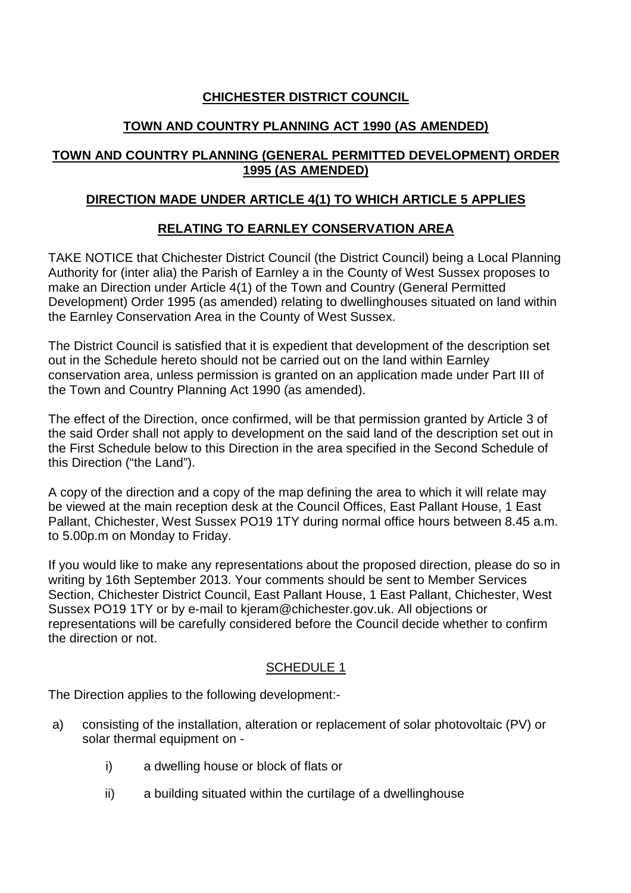# **CHICHESTER DISTRICT COUNCIL**

# **TOWN AND COUNTRY PLANNING ACT 1990 (AS AMENDED)**

# **TOWN AND COUNTRY PLANNING (GENERAL PERMITTED DEVELOPMENT) ORDER 1995 (AS AMENDED)**

# **DIRECTION MADE UNDER ARTICLE 4(1) TO WHICH ARTICLE 5 APPLIES**

# **RELATING TO EARNLEY CONSERVATION AREA**

TAKE NOTICE that Chichester District Council (the District Council) being a Local Planning Authority for (inter alia) the Parish of Earnley a in the County of West Sussex proposes to make an Direction under Article 4(1) of the Town and Country (General Permitted Development) Order 1995 (as amended) relating to dwellinghouses situated on land within the Earnley Conservation Area in the County of West Sussex.

The District Council is satisfied that it is expedient that development of the description set out in the Schedule hereto should not be carried out on the land within Earnley conservation area, unless permission is granted on an application made under Part III of the Town and Country Planning Act 1990 (as amended).

The effect of the Direction, once confirmed, will be that permission granted by Article 3 of the said Order shall not apply to development on the said land of the description set out in the First Schedule below to this Direction in the area specified in the Second Schedule of this Direction ("the Land").

A copy of the direction and a copy of the map defining the area to which it will relate may be viewed at the main reception desk at the Council Offices, East Pallant House, 1 East Pallant, Chichester, West Sussex PO19 1TY during normal office hours between 8.45 a.m. to 5.00p.m on Monday to Friday.

If you would like to make any representations about the proposed direction, please do so in writing by 16th September 2013. Your comments should be sent to Member Services Section, Chichester District Council, East Pallant House, 1 East Pallant, Chichester, West Sussex PO19 1TY or by e-mail to kjeram@chichester.gov.uk. All objections or representations will be carefully considered before the Council decide whether to confirm the direction or not.

### SCHEDULE 1

The Direction applies to the following development:-

- a) consisting of the installation, alteration or replacement of solar photovoltaic (PV) or solar thermal equipment on
	- i) a dwelling house or block of flats or
	- ii) a building situated within the curtilage of a dwellinghouse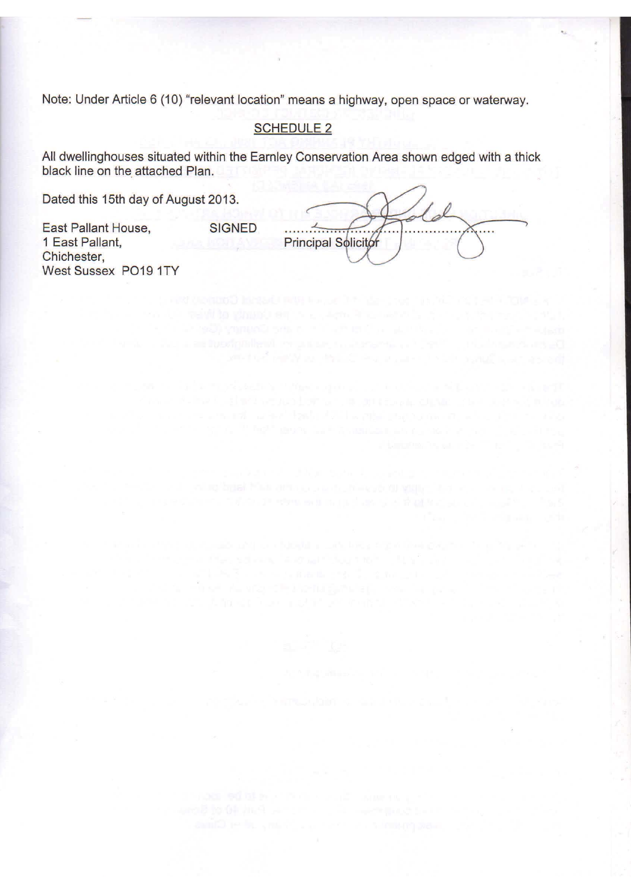Note: Under Article 6 (10) "relevant location" means a highway, open space or waterway.

#### SCHEDULE 2

All dwelling houses situated within the Earnley Conservation Area shown edged with a thick black line on the attached Plan.

**SIGNED** 

Dated this 15th day of August 2013.

East Pallant House, 1 East Pallant, Chichester, West Sussex PO19 1TY

Principal Solicitor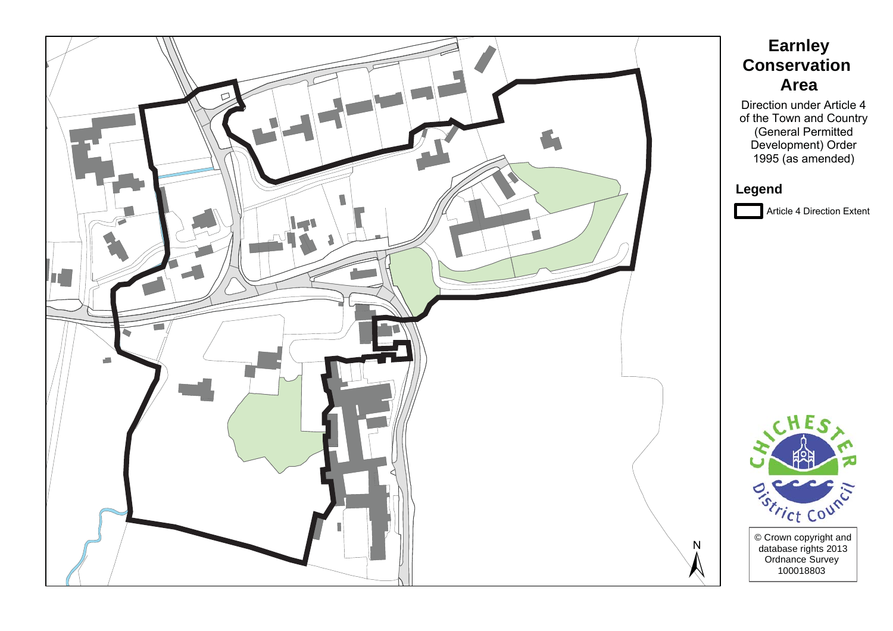

# **Earnley** Conservation **Area**

Direction under Article 4 of the Town and Country (General Permitted Development) Order 1995 (as amended)

#### Legend

Article 4 Direction Extent

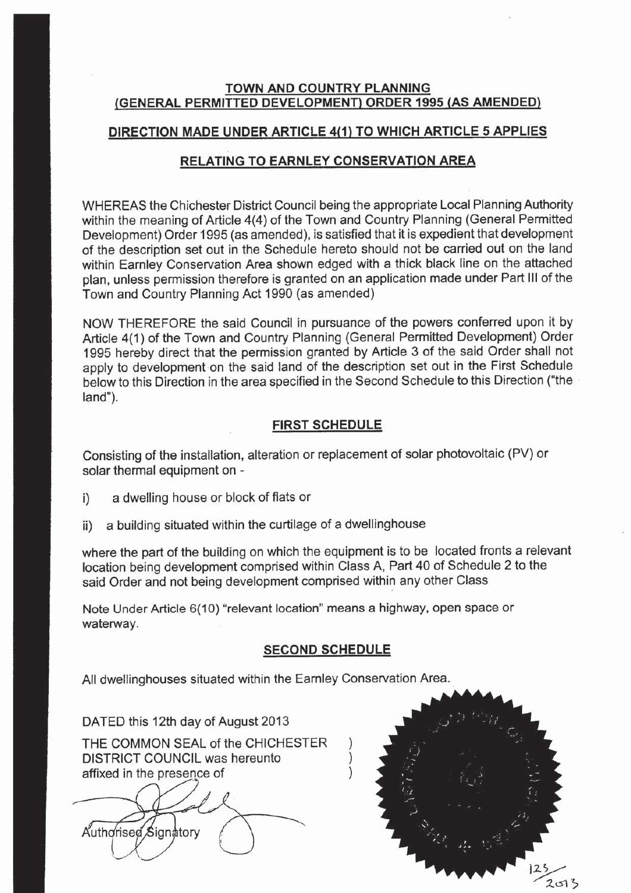#### TOWN AND COUNTRY PLANNING (GENERAL PERMITTED DEVELOPMENT) ORDER 1995 (AS AMENDED)

#### DIRECTION MADE UNDER ARTICLE 4(1) TO WHICH ARTICLE 5 APPLIES

#### RELATING TO EARNLEY CONSERVATION AREA

WHEREAS the Chichester District Council being the appropriate Local Planning Authority within the meaning of Article 4(4) of the Town and Country Planning (General Permitted Development) Order 1995 (as amended), is satisfied that it is expedient that development of the description set out in the Schedule hereto should not be carried out on the land within Earnley Conservation Area shown edged with a thick black line on the attached plan, unless permission therefore is granted on an application made under Part III of the Town and Country Planning Act 1990 (as amended)

NOW THEREFORE the said Council in pursuance of the powers conferred upon it by Article 4(1) of the Town and Country Planning (General Permitted Development) Order 1995 hereby direct that the permission granted by Article 3 of the said Order shall not apply to development on the said land of the description set out in the First Schedule below to this Direction in the area specified in the Second Schedule to this Direction ("the land").

#### **FIRST SCHEDULE**

Consisting of the installation, alteration or replacement of solar photovoltaic (PV) or solar thermal equipment on -

- i) a dwelling house or block of flats or
- a building situated within the curtilage of a dwellinghouse ii)

where the part of the building on which the equipment is to be located fronts a relevant location being development comprised within Class A, Part 40 of Schedule 2 to the said Order and not being development comprised within any other Class

Note Under Article 6(10) "relevant location" means a highway, open space or waterway.

#### **SECOND SCHEDULE**

All dwellinghouses situated within the Earnley Conservation Area.

DATED this 12th day of August 2013

THE COMMON SEAL of the CHICHESTER **DISTRICT COUNCIL was hereunto** affixed in the presence of

Authorised Signatory